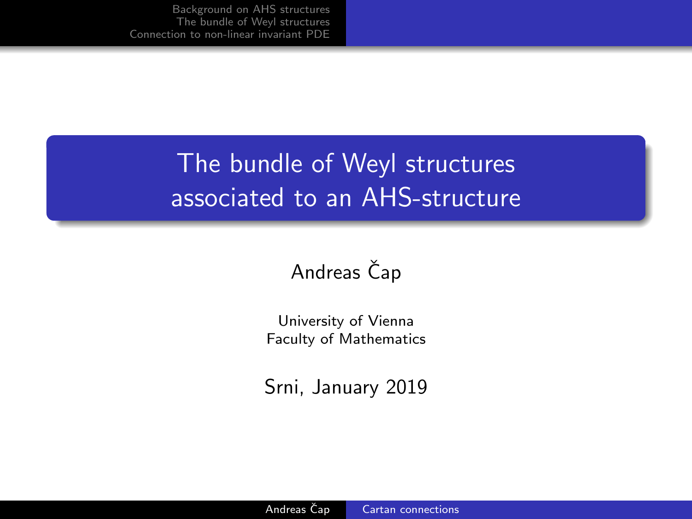## <span id="page-0-0"></span>The bundle of Weyl structures associated to an AHS-structure

## Andreas Čap

University of Vienna Faculty of Mathematics

Srni, January 2019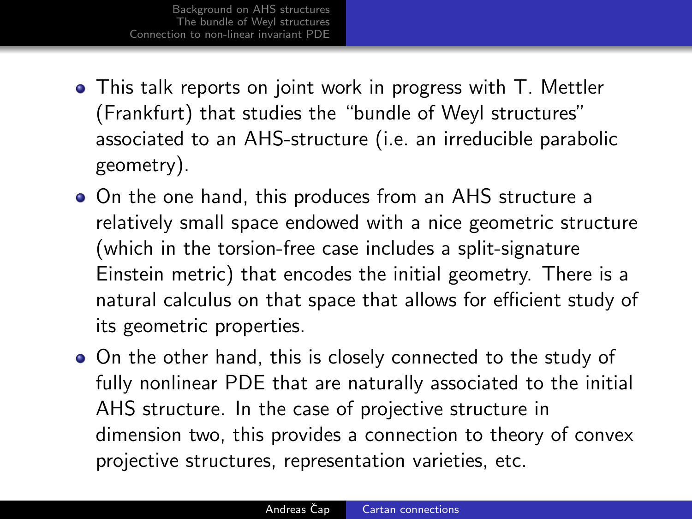- This talk reports on joint work in progress with T. Mettler (Frankfurt) that studies the "bundle of Weyl structures" associated to an AHS-structure (i.e. an irreducible parabolic geometry).
- On the one hand, this produces from an AHS structure a relatively small space endowed with a nice geometric structure (which in the torsion-free case includes a split-signature Einstein metric) that encodes the initial geometry. There is a natural calculus on that space that allows for efficient study of its geometric properties.
- On the other hand, this is closely connected to the study of fully nonlinear PDE that are naturally associated to the initial AHS structure. In the case of projective structure in dimension two, this provides a connection to theory of convex projective structures, representation varieties, etc.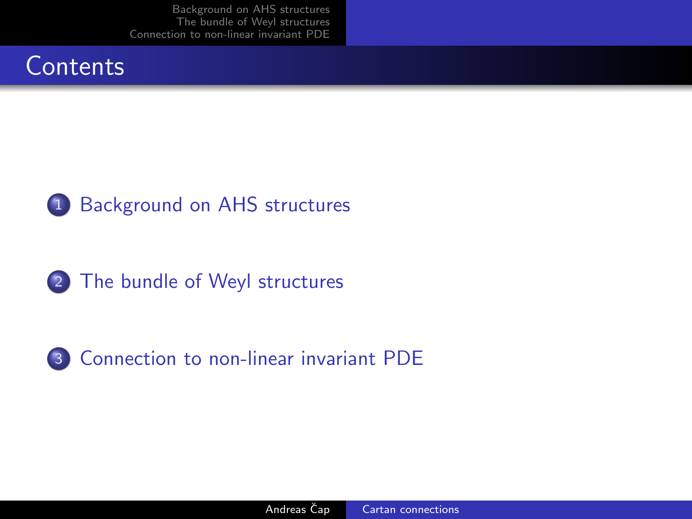





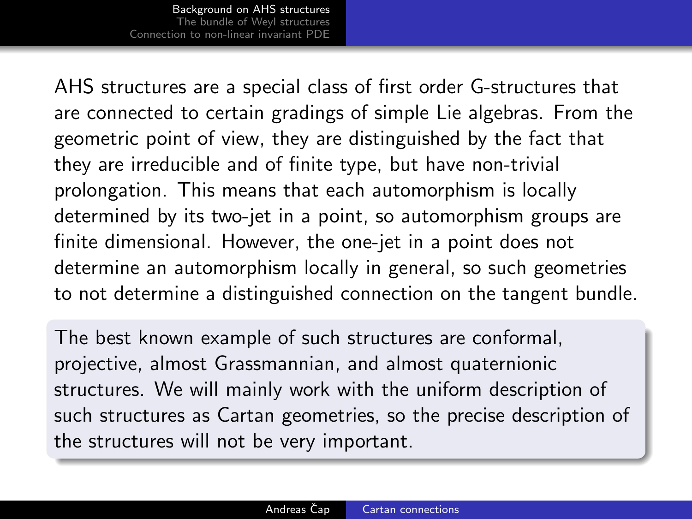<span id="page-3-0"></span>AHS structures are a special class of first order G-structures that are connected to certain gradings of simple Lie algebras. From the geometric point of view, they are distinguished by the fact that they are irreducible and of finite type, but have non-trivial prolongation. This means that each automorphism is locally determined by its two-jet in a point, so automorphism groups are finite dimensional. However, the one-jet in a point does not determine an automorphism locally in general, so such geometries to not determine a distinguished connection on the tangent bundle.

The best known example of such structures are conformal, projective, almost Grassmannian, and almost quaternionic structures. We will mainly work with the uniform description of such structures as Cartan geometries, so the precise description of the structures will not be very important.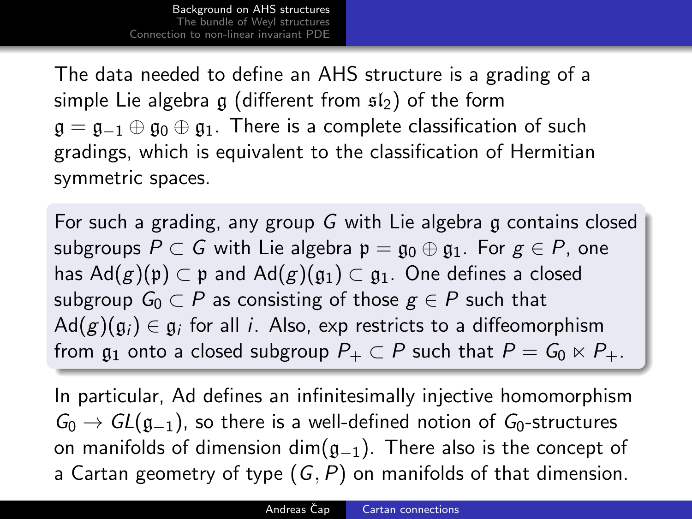The data needed to define an AHS structure is a grading of a simple Lie algebra g (different from  $s_2$ ) of the form  $\mathfrak{g} = \mathfrak{g}_{-1} \oplus \mathfrak{g}_0 \oplus \mathfrak{g}_1$ . There is a complete classification of such gradings, which is equivalent to the classification of Hermitian symmetric spaces.

For such a grading, any group G with Lie algebra g contains closed subgroups  $P \subset G$  with Lie algebra  $\mathfrak{p} = \mathfrak{g}_0 \oplus \mathfrak{g}_1$ . For  $g \in P$ , one has  $\text{Ad}(g)(\mathfrak{p}) \subset \mathfrak{p}$  and  $\text{Ad}(g)(\mathfrak{g}_1) \subset \mathfrak{g}_1$ . One defines a closed subgroup  $G_0 \subset P$  as consisting of those  $g \in P$  such that  $\mathsf{Ad}(g)(\mathfrak{g}_i)\in \mathfrak{g}_i$  for all  $i.$  Also, exp restricts to a diffeomorphism from  $\mathfrak{g}_1$  onto a closed subgroup  $P_+ \subset P$  such that  $P = G_0 \ltimes P_+$ .

In particular, Ad defines an infinitesimally injective homomorphism  $G_0 \rightarrow GL(\mathfrak{g}_{-1})$ , so there is a well-defined notion of  $G_0$ -structures on manifolds of dimension dim( $g_{-1}$ ). There also is the concept of a Cartan geometry of type  $(G, P)$  on manifolds of that dimension.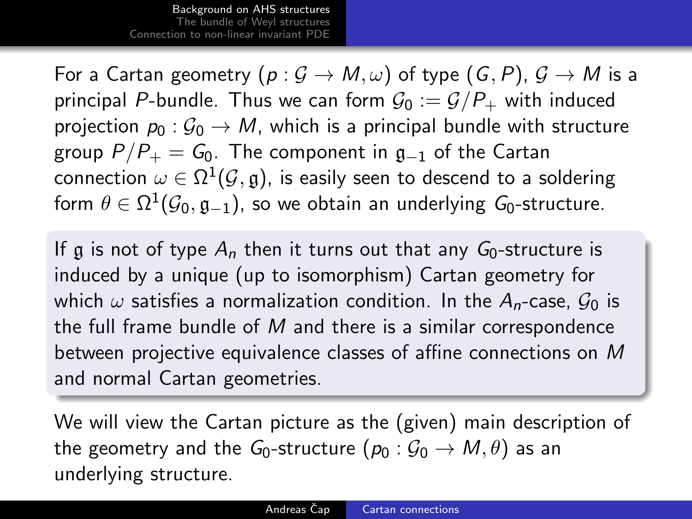For a Cartan geometry  $(p: \mathcal{G} \to M, \omega)$  of type  $(G, P), \mathcal{G} \to M$  is a principal P-bundle. Thus we can form  $\mathcal{G}_0 := \mathcal{G}/P_+$  with induced projection  $p_0$ :  $\mathcal{G}_0 \rightarrow M$ , which is a principal bundle with structure group  $P/P_+ = G_0$ . The component in  $g_{-1}$  of the Cartan connection  $\omega \in \Omega^1(\mathcal{G},\mathfrak{g})$ , is easily seen to descend to a soldering form  $\theta\in\Omega^1(\mathcal{G}_0,\mathfrak{g}_{-1}),$  so we obtain an underlying  $\mathcal{G}_0$ -structure.

If g is not of type  $A_n$  then it turns out that any  $G_0$ -structure is induced by a unique (up to isomorphism) Cartan geometry for which  $\omega$  satisfies a normalization condition. In the  $A_n$ -case,  $\mathcal{G}_0$  is the full frame bundle of  $M$  and there is a similar correspondence between projective equivalence classes of affine connections on M and normal Cartan geometries.

We will view the Cartan picture as the (given) main description of the geometry and the  $G_0$ -structure  $(p_0 : G_0 \to M, \theta)$  as an underlying structure.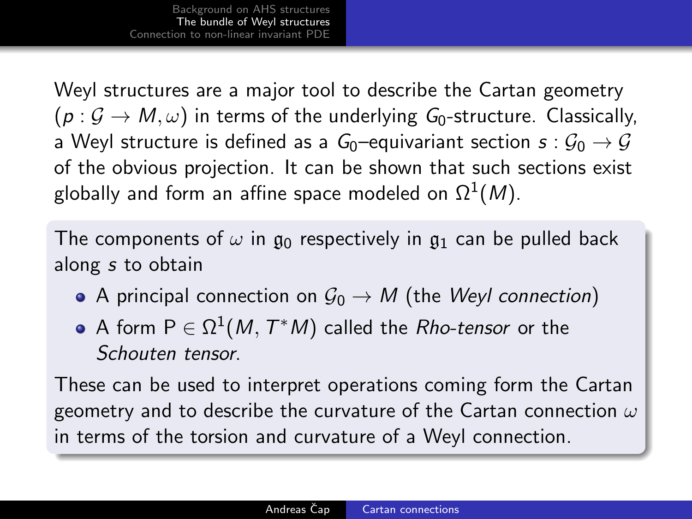<span id="page-6-0"></span>Weyl structures are a major tool to describe the Cartan geometry  $(p: \mathcal{G} \to M, \omega)$  in terms of the underlying  $G_0$ -structure. Classically, a Weyl structure is defined as a  $G_0$ –equivariant section  $s: \mathcal{G}_0 \to \mathcal{G}$ of the obvious projection. It can be shown that such sections exist globally and form an affine space modeled on  $\Omega^1(M).$ 

The components of  $\omega$  in  $\mathfrak{g}_0$  respectively in  $\mathfrak{g}_1$  can be pulled back along s to obtain

- A principal connection on  $\mathcal{G}_0 \to M$  (the *Weyl connection*)
- A form  $\mathsf{P} \in \Omega^1(M,\,T^\ast M)$  called the  $R$ ho-*tensor* or the Schouten tensor.

These can be used to interpret operations coming form the Cartan geometry and to describe the curvature of the Cartan connection  $\omega$ in terms of the torsion and curvature of a Weyl connection.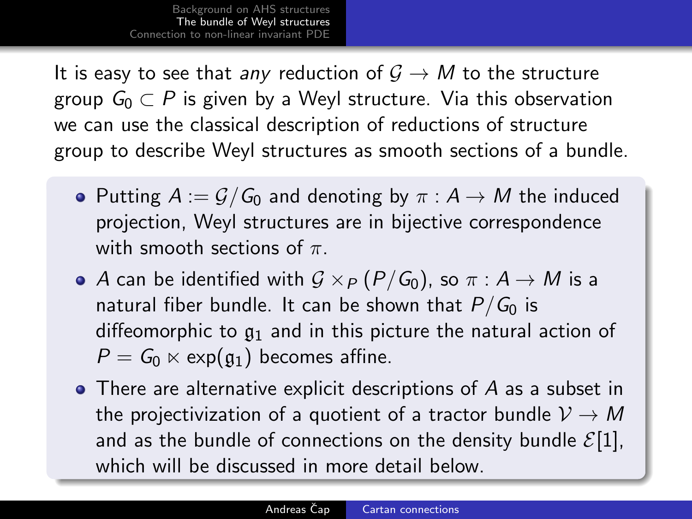It is easy to see that any reduction of  $G \rightarrow M$  to the structure group  $G_0 \subset P$  is given by a Weyl structure. Via this observation we can use the classical description of reductions of structure group to describe Weyl structures as smooth sections of a bundle.

- Putting  $A := \mathcal{G}/G_0$  and denoting by  $\pi : A \to M$  the induced projection, Weyl structures are in bijective correspondence with smooth sections of  $\pi$ .
- A can be identified with  $G \times_P (P/G_0)$ , so  $\pi : A \rightarrow M$  is a natural fiber bundle. It can be shown that  $P/G_0$  is diffeomorphic to  $g_1$  and in this picture the natural action of  $P = G_0 \ltimes \exp(\mathfrak{g}_1)$  becomes affine.
- There are alternative explicit descriptions of A as a subset in the projectivization of a quotient of a tractor bundle  $V \rightarrow M$ and as the bundle of connections on the density bundle  $\mathcal{E}[1]$ , which will be discussed in more detail below.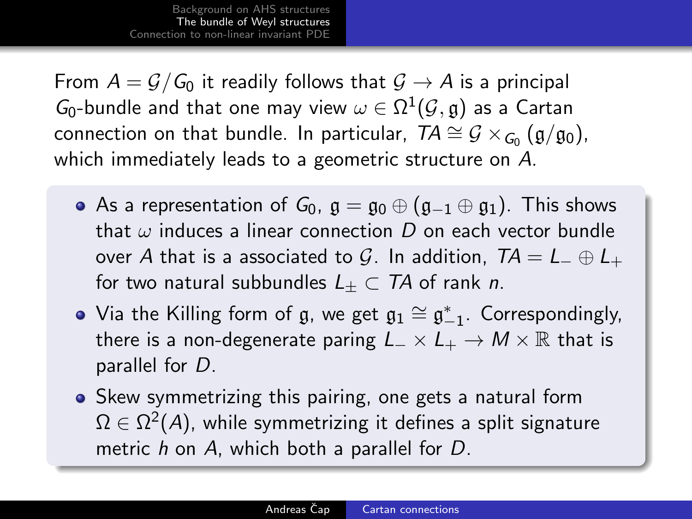From  $A = \mathcal{G}/\mathcal{G}_0$  it readily follows that  $\mathcal{G} \to A$  is a principal  $G_0\text{-bundle}$  and that one may view  $\omega\in\Omega^1(\mathcal{G},\mathfrak{g})$  as a Cartan connection on that bundle. In particular,  $TA \cong \mathcal{G} \times_{G_0} (\mathfrak{g}/\mathfrak{g}_0)$ , which immediately leads to a geometric structure on A.

- As a representation of  $G_0$ ,  $\mathfrak{g} = \mathfrak{g}_0 \oplus (\mathfrak{g}_{-1} \oplus \mathfrak{g}_1)$ . This shows that  $\omega$  induces a linear connection D on each vector bundle over A that is a associated to G. In addition,  $TA = L_+ \oplus L_+$ for two natural subbundles  $L_{+} \subset T A$  of rank n.
- Via the Killing form of  $\mathfrak{g}$ , we get  $\mathfrak{g}_1\cong\mathfrak{g}_{-1}^*$ . Correspondingly, there is a non-degenerate paring  $L_-\times L_+ \to M\times \mathbb{R}$  that is parallel for D.
- Skew symmetrizing this pairing, one gets a natural form  $\Omega \in \Omega^2(A)$ , while symmetrizing it defines a split signature metric h on A, which both a parallel for D.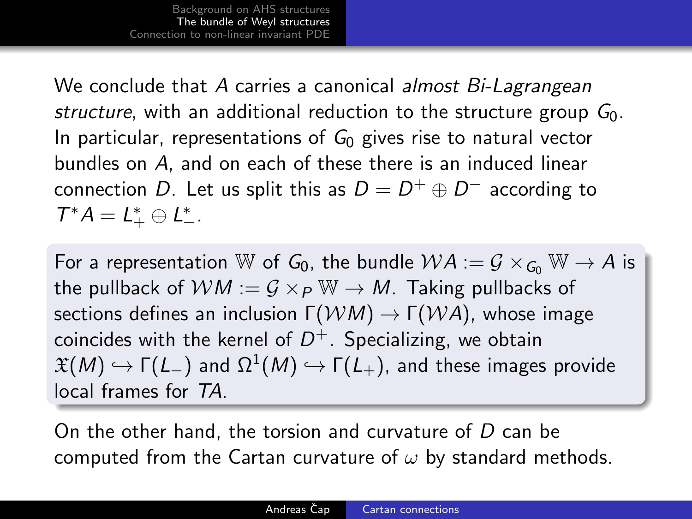We conclude that A carries a canonical *almost Bi-Lagrangean* structure, with an additional reduction to the structure group  $G_0$ . In particular, representations of  $G_0$  gives rise to natural vector bundles on A, and on each of these there is an induced linear connection  $D.$  Let us split this as  $D=D^+\oplus D^-$  according to  $T^*A = L^*_+ \oplus L^*_-$ .

For a representation W of  $G_0$ , the bundle  $WA := \mathcal{G} \times_{G_0} W \rightarrow A$  is the pullback of  $WM := G \times_P W \rightarrow M$ . Taking pullbacks of sections defines an inclusion  $\Gamma(WM) \to \Gamma(WA)$ , whose image coincides with the kernel of  $D^+$ . Specializing, we obtain  $\mathfrak{X}(\mathsf{M})\hookrightarrow \mathsf{\Gamma}(\mathsf{L}_-)$  and  $\Omega^1(\mathsf{M})\hookrightarrow \mathsf{\Gamma}(\mathsf{L}_+),$  and these images provide local frames for TA.

On the other hand, the torsion and curvature of D can be computed from the Cartan curvature of  $\omega$  by standard methods.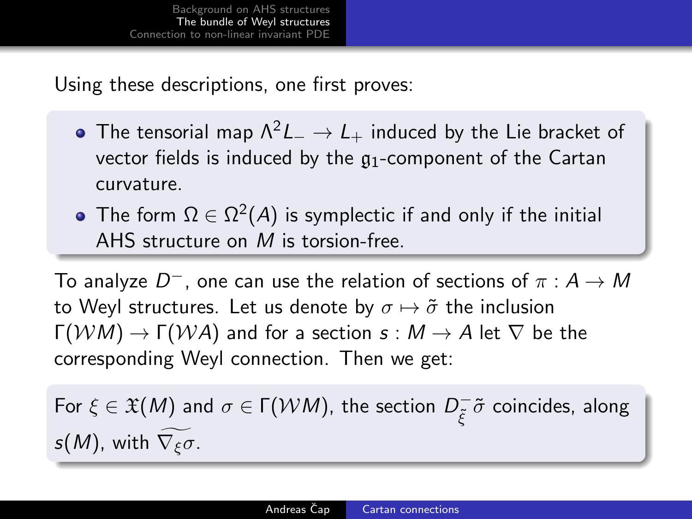Using these descriptions, one first proves:

- The tensorial map  $\Lambda^2 L_-\to L_+$  induced by the Lie bracket of vector fields is induced by the  $q_1$ -component of the Cartan curvature.
- The form  $\Omega \in \Omega^2(A)$  is symplectic if and only if the initial AHS structure on M is torsion-free.

To analyze  $D^+$ , one can use the relation of sections of  $\pi:A\to M$ to Weyl structures. Let us denote by  $\sigma \mapsto \tilde{\sigma}$  the inclusion  $\Gamma(WM) \to \Gamma(WA)$  and for a section  $s : M \to A$  let  $\nabla$  be the corresponding Weyl connection. Then we get:

For  $\xi \in \mathfrak{X}(M)$  and  $\sigma \in \Gamma(\mathcal{WM})$ , the section  $D_{\mathcal{F}}^ \bar{\tilde{\xi}}^-\tilde{\sigma}$  coincides, along  $s(M)$ , with  $\nabla_{\xi}\sigma$ .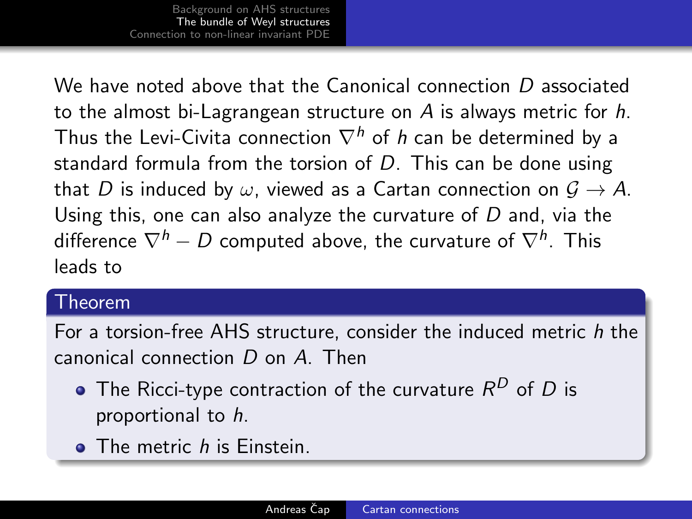We have noted above that the Canonical connection  $D$  associated to the almost bi-Lagrangean structure on  $\overline{A}$  is always metric for h. Thus the Levi-Civita connection  $\nabla^h$  of h can be determined by a standard formula from the torsion of  $D$ . This can be done using that D is induced by  $\omega$ , viewed as a Cartan connection on  $\mathcal{G} \to A$ . Using this, one can also analyze the curvature of  $D$  and, via the difference  $\nabla^h - D$  computed above, the curvature of  $\nabla^h.$  This leads to

## Theorem

For a torsion-free AHS structure, consider the induced metric h the canonical connection D on A. Then

- The Ricci-type contraction of the curvature  $\mathcal{R}^D$  of  $D$  is proportional to h.
- **The metric h is Einstein.**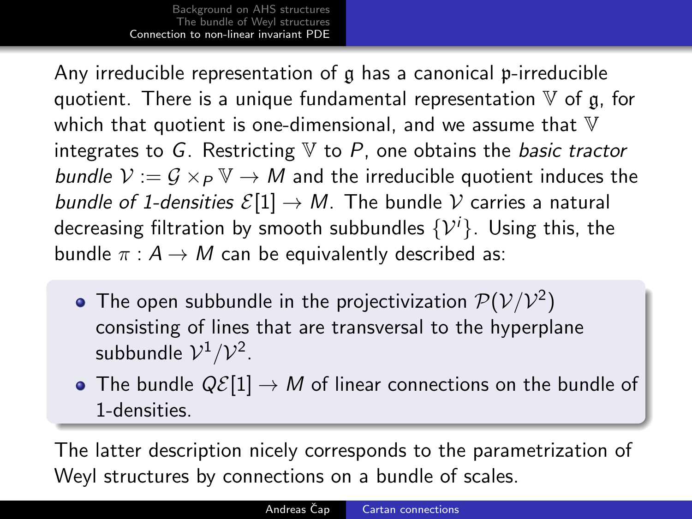<span id="page-12-0"></span>Any irreducible representation of g has a canonical p-irreducible quotient. There is a unique fundamental representation  $V$  of g, for which that quotient is one-dimensional, and we assume that  $V$ integrates to G. Restricting  $V$  to  $P$ , one obtains the *basic tractor* bundle  $V := G \times_P \mathbb{V} \to M$  and the irreducible quotient induces the bundle of 1-densities  $\mathcal{E}[1] \to M$ . The bundle V carries a natural decreasing filtration by smooth subbundles  $\{\mathcal{V}^i\}$ . Using this, the bundle  $\pi : A \rightarrow M$  can be equivalently described as:

- The open subbundle in the projectivization  ${\cal P}({\cal V}/{\cal V}^2)$ consisting of lines that are transversal to the hyperplane subbundle  $\mathcal{V}^1/\mathcal{V}^2$ .
- The bundle  $Q\mathcal{E}[1] \to M$  of linear connections on the bundle of 1-densities.

The latter description nicely corresponds to the parametrization of Weyl structures by connections on a bundle of scales.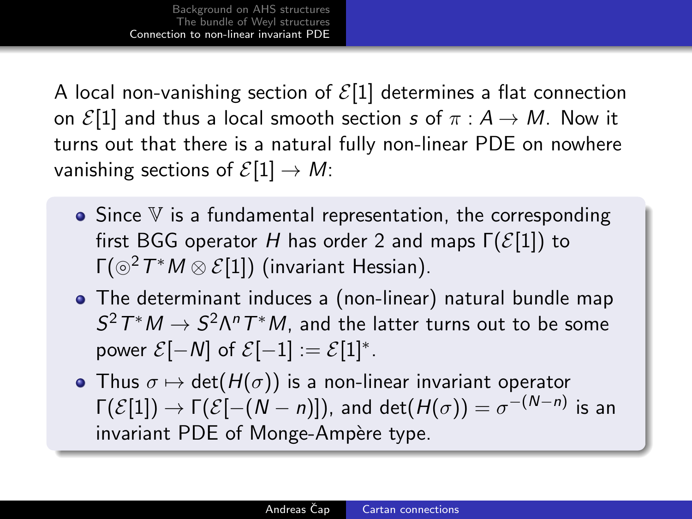A local non-vanishing section of  $\mathcal{E}[1]$  determines a flat connection on  $\mathcal{E}[1]$  and thus a local smooth section s of  $\pi : A \rightarrow M$ . Now it turns out that there is a natural fully non-linear PDE on nowhere vanishing sections of  $\mathcal{E}[1] \to M$ :

- $\bullet$  Since  $V$  is a fundamental representation, the corresponding first BGG operator H has order 2 and maps  $\Gamma(\mathcal{E}[1])$  to Γ $({\odot}^2 T^*M \otimes \mathcal{E}[1])$  (invariant Hessian).
- The determinant induces a (non-linear) natural bundle map  $S^2T^*M\to S^2\Lambda^nT^*M$ , and the latter turns out to be some power  $\mathcal{E}[-N]$  of  $\mathcal{E}[-1] := \mathcal{E}[1]^*$ .
- Thus  $\sigma \mapsto \det(H(\sigma))$  is a non-linear invariant operator  $\Gamma(\mathcal{E}[1])\rightarrow \Gamma(\mathcal{E}[-(N-n)]),$  and  $\det(H(\sigma))=\sigma^{-(N-n)}$  is an invariant PDE of Monge-Ampère type.